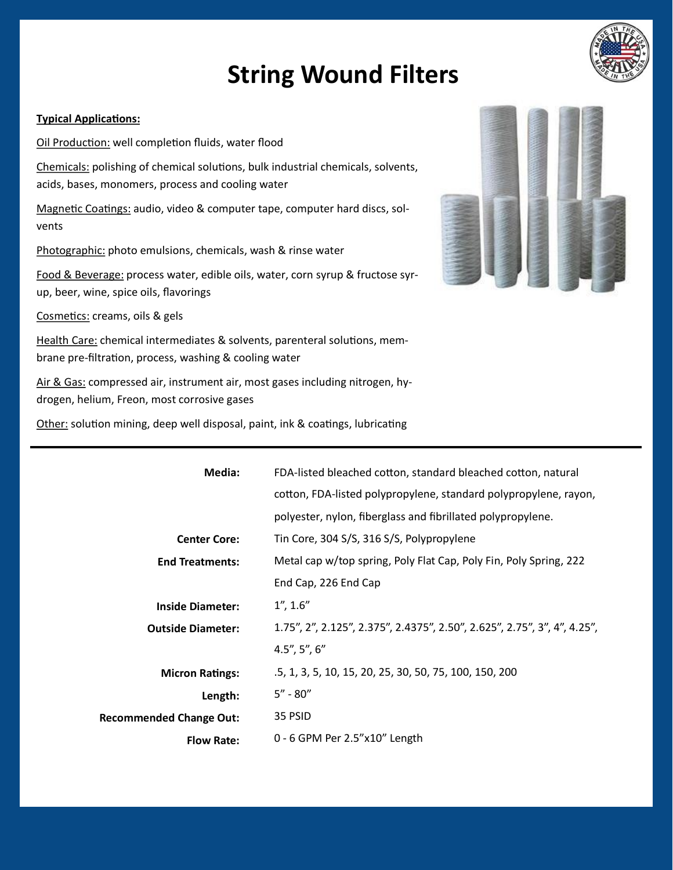## **String Wound Filters**

## **Typical Applications:**

Chemicals: polishing of chemical solutions, bulk industrial chemicals, solvents, acids, bases, monomers, process and cooling water

Magnetic Coatings: audio, video & computer tape, computer hard discs, solvents

Photographic: photo emulsions, chemicals, wash & rinse water

Oil Production: well completion fluids, water flood

Food & Beverage: process water, edible oils, water, corn syrup & fructose syrup, beer, wine, spice oils, flavorings

Cosmetics: creams, oils & gels

Health Care: chemical intermediates & solvents, parenteral solutions, membrane pre-filtration, process, washing & cooling water

Air & Gas: compressed air, instrument air, most gases including nitrogen, hydrogen, helium, Freon, most corrosive gases

Other: solution mining, deep well disposal, paint, ink & coatings, lubricating

| Media:                         | FDA-listed bleached cotton, standard bleached cotton, natural            |
|--------------------------------|--------------------------------------------------------------------------|
|                                | cotton, FDA-listed polypropylene, standard polypropylene, rayon,         |
|                                | polyester, nylon, fiberglass and fibrillated polypropylene.              |
| <b>Center Core:</b>            | Tin Core, 304 S/S, 316 S/S, Polypropylene                                |
| <b>End Treatments:</b>         | Metal cap w/top spring, Poly Flat Cap, Poly Fin, Poly Spring, 222        |
|                                | End Cap, 226 End Cap                                                     |
| <b>Inside Diameter:</b>        | 1'', 1.6''                                                               |
| <b>Outside Diameter:</b>       | 1.75", 2", 2.125", 2.375", 2.4375", 2.50", 2.625", 2.75", 3", 4", 4.25", |
|                                | $4.5$ ", $5$ ", $6$ "                                                    |
| <b>Micron Ratings:</b>         | .5, 1, 3, 5, 10, 15, 20, 25, 30, 50, 75, 100, 150, 200                   |
| Length:                        | $5'' - 80''$                                                             |
| <b>Recommended Change Out:</b> | 35 PSID                                                                  |
| <b>Flow Rate:</b>              | $0 - 6$ GPM Per 2.5"x10" Length                                          |